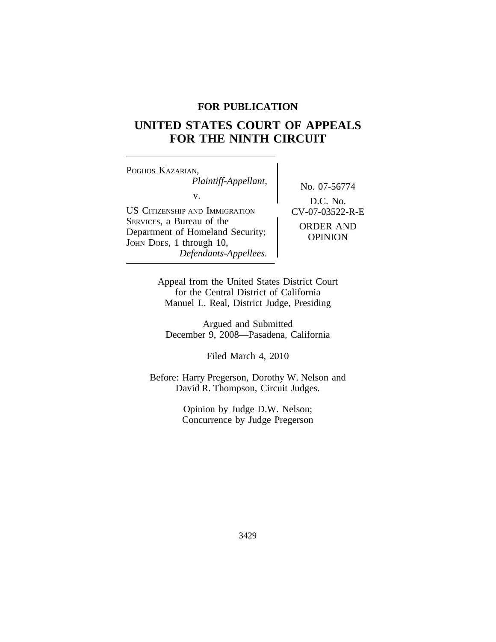# **FOR PUBLICATION**

# **UNITED STATES COURT OF APPEALS FOR THE NINTH CIRCUIT**

<sup>P</sup>OGHOS KAZARIAN, *Plaintiff-Appellant,* No. 07-56774 v. US CITIZENSHIP AND IMMIGRATION  $CV-07-03522-R-E$ <br>SERVICES, a Bureau of the SERVICES, a Bureau of the ORDER AND<br>Department of Homeland Security; OPINION<br>JOHN DOES, 1 through 10, *Defendants-Appellees.*

D.C. No.

Appeal from the United States District Court for the Central District of California Manuel L. Real, District Judge, Presiding

Argued and Submitted December 9, 2008—Pasadena, California

Filed March 4, 2010

Before: Harry Pregerson, Dorothy W. Nelson and David R. Thompson, Circuit Judges.

> Opinion by Judge D.W. Nelson; Concurrence by Judge Pregerson

> > 3429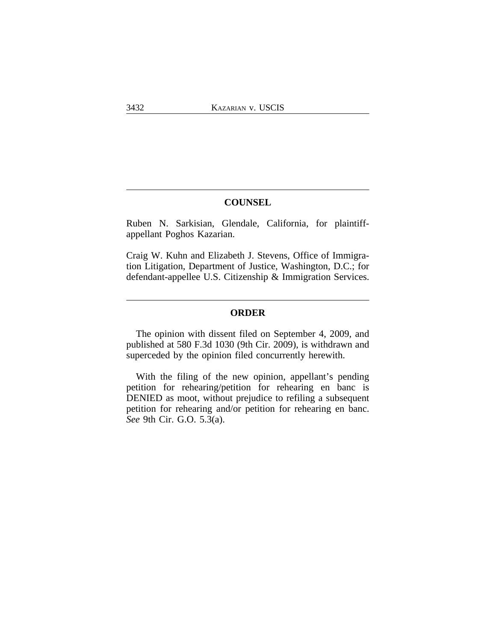# **COUNSEL**

Ruben N. Sarkisian, Glendale, California, for plaintiffappellant Poghos Kazarian.

Craig W. Kuhn and Elizabeth J. Stevens, Office of Immigration Litigation, Department of Justice, Washington, D.C.; for defendant-appellee U.S. Citizenship & Immigration Services.

## **ORDER**

The opinion with dissent filed on September 4, 2009, and published at 580 F.3d 1030 (9th Cir. 2009), is withdrawn and superceded by the opinion filed concurrently herewith.

With the filing of the new opinion, appellant's pending petition for rehearing/petition for rehearing en banc is DENIED as moot, without prejudice to refiling a subsequent petition for rehearing and/or petition for rehearing en banc. *See* 9th Cir. G.O. 5.3(a).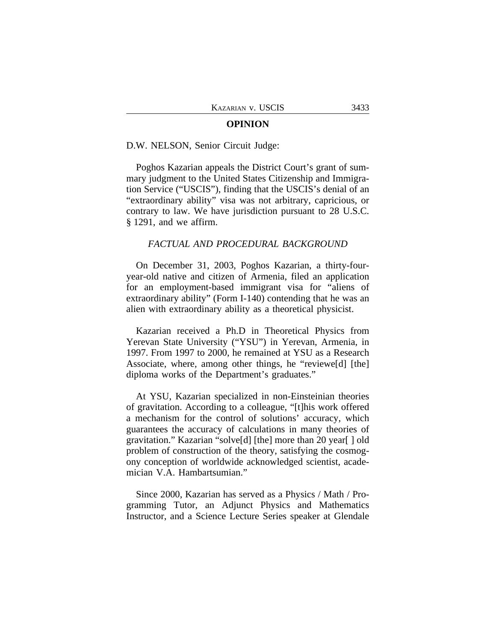#### **OPINION**

#### D.W. NELSON, Senior Circuit Judge:

Poghos Kazarian appeals the District Court's grant of summary judgment to the United States Citizenship and Immigration Service ("USCIS"), finding that the USCIS's denial of an "extraordinary ability" visa was not arbitrary, capricious, or contrary to law. We have jurisdiction pursuant to 28 U.S.C. § 1291, and we affirm.

#### *FACTUAL AND PROCEDURAL BACKGROUND*

On December 31, 2003, Poghos Kazarian, a thirty-fouryear-old native and citizen of Armenia, filed an application for an employment-based immigrant visa for "aliens of extraordinary ability" (Form I-140) contending that he was an alien with extraordinary ability as a theoretical physicist.

Kazarian received a Ph.D in Theoretical Physics from Yerevan State University ("YSU") in Yerevan, Armenia, in 1997. From 1997 to 2000, he remained at YSU as a Research Associate, where, among other things, he "reviewe[d] [the] diploma works of the Department's graduates."

At YSU, Kazarian specialized in non-Einsteinian theories of gravitation. According to a colleague, "[t]his work offered a mechanism for the control of solutions' accuracy, which guarantees the accuracy of calculations in many theories of gravitation." Kazarian "solve[d] [the] more than 20 year[ ] old problem of construction of the theory, satisfying the cosmogony conception of worldwide acknowledged scientist, academician V.A. Hambartsumian."

Since 2000, Kazarian has served as a Physics / Math / Programming Tutor, an Adjunct Physics and Mathematics Instructor, and a Science Lecture Series speaker at Glendale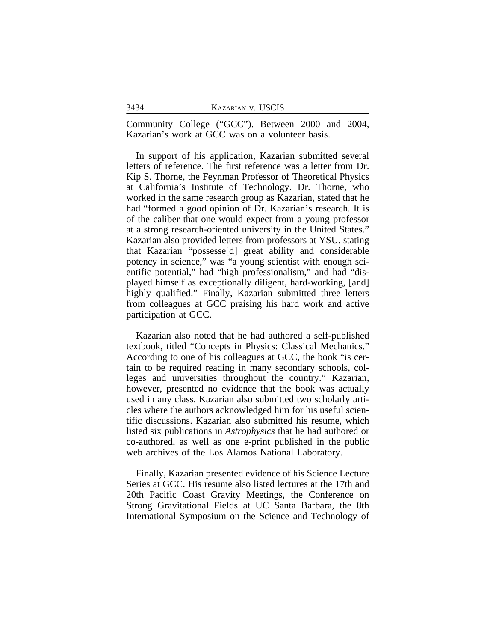Community College ("GCC"). Between 2000 and 2004, Kazarian's work at GCC was on a volunteer basis.

In support of his application, Kazarian submitted several letters of reference. The first reference was a letter from Dr. Kip S. Thorne, the Feynman Professor of Theoretical Physics at California's Institute of Technology. Dr. Thorne, who worked in the same research group as Kazarian, stated that he had "formed a good opinion of Dr. Kazarian's research. It is of the caliber that one would expect from a young professor at a strong research-oriented university in the United States." Kazarian also provided letters from professors at YSU, stating that Kazarian "possesse[d] great ability and considerable potency in science," was "a young scientist with enough scientific potential," had "high professionalism," and had "displayed himself as exceptionally diligent, hard-working, [and] highly qualified." Finally, Kazarian submitted three letters from colleagues at GCC praising his hard work and active participation at GCC.

Kazarian also noted that he had authored a self-published textbook, titled "Concepts in Physics: Classical Mechanics." According to one of his colleagues at GCC, the book "is certain to be required reading in many secondary schools, colleges and universities throughout the country." Kazarian, however, presented no evidence that the book was actually used in any class. Kazarian also submitted two scholarly articles where the authors acknowledged him for his useful scientific discussions. Kazarian also submitted his resume, which listed six publications in *Astrophysics* that he had authored or co-authored, as well as one e-print published in the public web archives of the Los Alamos National Laboratory.

Finally, Kazarian presented evidence of his Science Lecture Series at GCC. His resume also listed lectures at the 17th and 20th Pacific Coast Gravity Meetings, the Conference on Strong Gravitational Fields at UC Santa Barbara, the 8th International Symposium on the Science and Technology of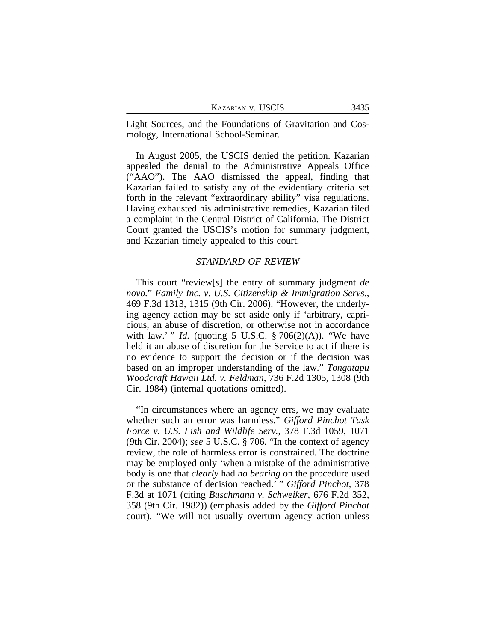| Kazarian v. USCIS | 3435 |
|-------------------|------|
|                   |      |

Light Sources, and the Foundations of Gravitation and Cosmology, International School-Seminar.

In August 2005, the USCIS denied the petition. Kazarian appealed the denial to the Administrative Appeals Office ("AAO"). The AAO dismissed the appeal, finding that Kazarian failed to satisfy any of the evidentiary criteria set forth in the relevant "extraordinary ability" visa regulations. Having exhausted his administrative remedies, Kazarian filed a complaint in the Central District of California. The District Court granted the USCIS's motion for summary judgment, and Kazarian timely appealed to this court.

#### *STANDARD OF REVIEW*

This court "review[s] the entry of summary judgment *de novo.*" *Family Inc. v. U.S. Citizenship & Immigration Servs.*, 469 F.3d 1313, 1315 (9th Cir. 2006). "However, the underlying agency action may be set aside only if 'arbitrary, capricious, an abuse of discretion, or otherwise not in accordance with law.' " *Id.* (quoting 5 U.S.C.  $\S 706(2)(A)$ ). "We have held it an abuse of discretion for the Service to act if there is no evidence to support the decision or if the decision was based on an improper understanding of the law." *Tongatapu Woodcraft Hawaii Ltd. v. Feldman*, 736 F.2d 1305, 1308 (9th Cir. 1984) (internal quotations omitted).

"In circumstances where an agency errs, we may evaluate whether such an error was harmless." *Gifford Pinchot Task Force v. U.S. Fish and Wildlife Serv.*, 378 F.3d 1059, 1071 (9th Cir. 2004); *see* 5 U.S.C. § 706. "In the context of agency review, the role of harmless error is constrained. The doctrine may be employed only 'when a mistake of the administrative body is one that *clearly* had *no bearing* on the procedure used or the substance of decision reached.' " *Gifford Pinchot*, 378 F.3d at 1071 (citing *Buschmann v. Schweiker*, 676 F.2d 352, 358 (9th Cir. 1982)) (emphasis added by the *Gifford Pinchot* court). "We will not usually overturn agency action unless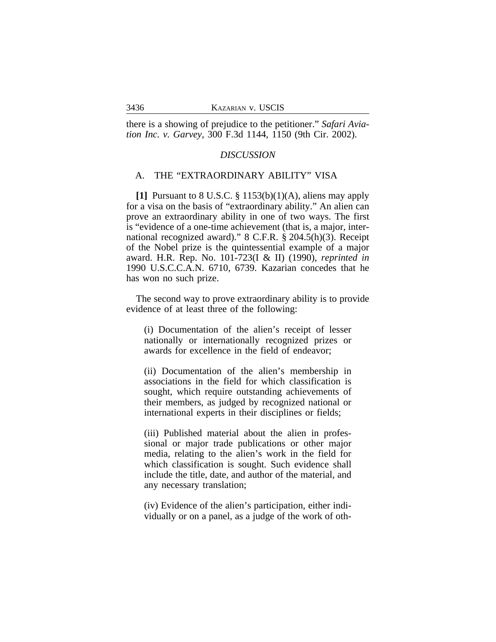there is a showing of prejudice to the petitioner." *Safari Aviation Inc. v. Garvey*, 300 F.3d 1144, 1150 (9th Cir. 2002).

#### *DISCUSSION*

#### A. THE "EXTRAORDINARY ABILITY" VISA

**[1]** Pursuant to 8 U.S.C. § 1153(b)(1)(A), aliens may apply for a visa on the basis of "extraordinary ability." An alien can prove an extraordinary ability in one of two ways. The first is "evidence of a one-time achievement (that is, a major, international recognized award)." 8 C.F.R. § 204.5(h)(3). Receipt of the Nobel prize is the quintessential example of a major award. H.R. Rep. No. 101-723(I & II) (1990), *reprinted in* 1990 U.S.C.C.A.N. 6710, 6739. Kazarian concedes that he has won no such prize.

The second way to prove extraordinary ability is to provide evidence of at least three of the following:

(i) Documentation of the alien's receipt of lesser nationally or internationally recognized prizes or awards for excellence in the field of endeavor;

(ii) Documentation of the alien's membership in associations in the field for which classification is sought, which require outstanding achievements of their members, as judged by recognized national or international experts in their disciplines or fields;

(iii) Published material about the alien in professional or major trade publications or other major media, relating to the alien's work in the field for which classification is sought. Such evidence shall include the title, date, and author of the material, and any necessary translation;

(iv) Evidence of the alien's participation, either individually or on a panel, as a judge of the work of oth-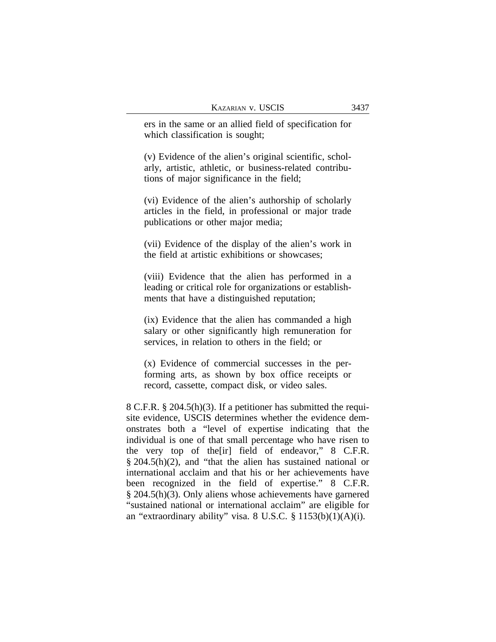ers in the same or an allied field of specification for which classification is sought;

(v) Evidence of the alien's original scientific, scholarly, artistic, athletic, or business-related contributions of major significance in the field;

(vi) Evidence of the alien's authorship of scholarly articles in the field, in professional or major trade publications or other major media;

(vii) Evidence of the display of the alien's work in the field at artistic exhibitions or showcases;

(viii) Evidence that the alien has performed in a leading or critical role for organizations or establishments that have a distinguished reputation;

(ix) Evidence that the alien has commanded a high salary or other significantly high remuneration for services, in relation to others in the field; or

(x) Evidence of commercial successes in the performing arts, as shown by box office receipts or record, cassette, compact disk, or video sales.

8 C.F.R. § 204.5(h)(3). If a petitioner has submitted the requisite evidence, USCIS determines whether the evidence demonstrates both a "level of expertise indicating that the individual is one of that small percentage who have risen to the very top of the[ir] field of endeavor," 8 C.F.R. § 204.5(h)(2), and "that the alien has sustained national or international acclaim and that his or her achievements have been recognized in the field of expertise." 8 C.F.R. § 204.5(h)(3). Only aliens whose achievements have garnered "sustained national or international acclaim" are eligible for an "extraordinary ability" visa. 8 U.S.C.  $\S 1153(b)(1)(A)(i)$ .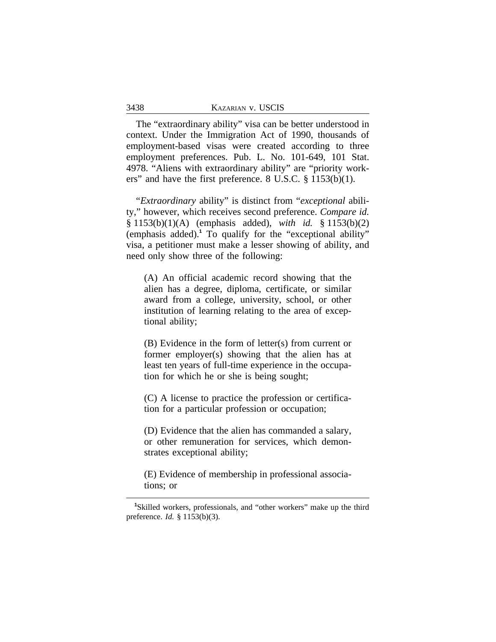The "extraordinary ability" visa can be better understood in context. Under the Immigration Act of 1990, thousands of employment-based visas were created according to three employment preferences. Pub. L. No. 101-649, 101 Stat. 4978. "Aliens with extraordinary ability" are "priority workers" and have the first preference. 8 U.S.C. § 1153(b)(1).

"*Extraordinary* ability" is distinct from "*exceptional* ability," however, which receives second preference. *Compare id.* § 1153(b)(1)(A) (emphasis added), *with id.* § 1153(b)(2) (emphasis added).**<sup>1</sup>** To qualify for the "exceptional ability" visa, a petitioner must make a lesser showing of ability, and need only show three of the following:

(A) An official academic record showing that the alien has a degree, diploma, certificate, or similar award from a college, university, school, or other institution of learning relating to the area of exceptional ability;

(B) Evidence in the form of letter(s) from current or former employer(s) showing that the alien has at least ten years of full-time experience in the occupation for which he or she is being sought;

(C) A license to practice the profession or certification for a particular profession or occupation;

(D) Evidence that the alien has commanded a salary, or other remuneration for services, which demonstrates exceptional ability;

(E) Evidence of membership in professional associations; or

**<sup>1</sup>**Skilled workers, professionals, and "other workers" make up the third preference. *Id.* § 1153(b)(3).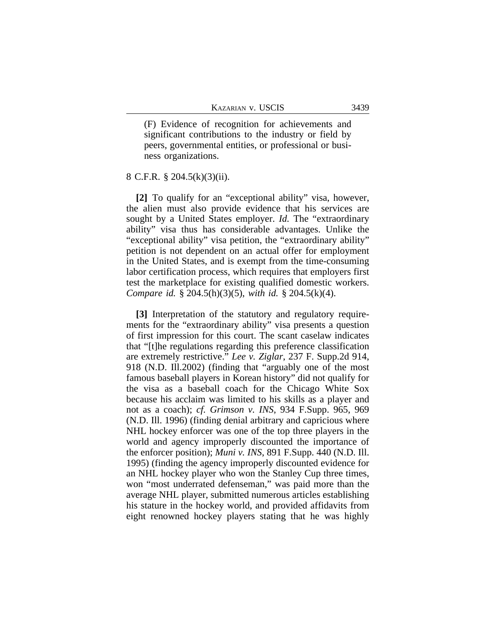(F) Evidence of recognition for achievements and significant contributions to the industry or field by peers, governmental entities, or professional or business organizations.

## 8 C.F.R. § 204.5(k)(3)(ii).

**[2]** To qualify for an "exceptional ability" visa, however, the alien must also provide evidence that his services are sought by a United States employer. *Id.* The "extraordinary ability" visa thus has considerable advantages. Unlike the "exceptional ability" visa petition, the "extraordinary ability" petition is not dependent on an actual offer for employment in the United States, and is exempt from the time-consuming labor certification process, which requires that employers first test the marketplace for existing qualified domestic workers. *Compare id.* § 204.5(h)(3)(5), *with id.* § 204.5(k)(4).

**[3]** Interpretation of the statutory and regulatory requirements for the "extraordinary ability" visa presents a question of first impression for this court. The scant caselaw indicates that "[t]he regulations regarding this preference classification are extremely restrictive." *Lee v. Ziglar*, 237 F. Supp.2d 914, 918 (N.D. Ill.2002) (finding that "arguably one of the most famous baseball players in Korean history" did not qualify for the visa as a baseball coach for the Chicago White Sox because his acclaim was limited to his skills as a player and not as a coach); *cf. Grimson v. INS*, 934 F.Supp. 965, 969 (N.D. Ill. 1996) (finding denial arbitrary and capricious where NHL hockey enforcer was one of the top three players in the world and agency improperly discounted the importance of the enforcer position); *Muni v. INS*, 891 F.Supp. 440 (N.D. Ill. 1995) (finding the agency improperly discounted evidence for an NHL hockey player who won the Stanley Cup three times, won "most underrated defenseman," was paid more than the average NHL player, submitted numerous articles establishing his stature in the hockey world, and provided affidavits from eight renowned hockey players stating that he was highly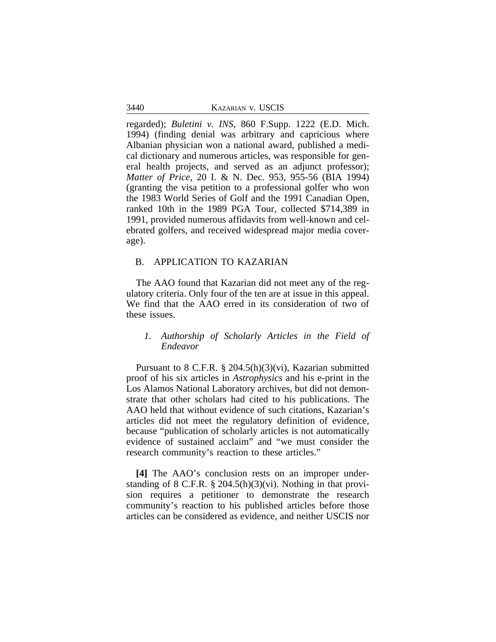| KAZARIAN V. USCIS |  |
|-------------------|--|
|                   |  |

regarded); *Buletini v. INS*, 860 F.Supp. 1222 (E.D. Mich. 1994) (finding denial was arbitrary and capricious where Albanian physician won a national award, published a medical dictionary and numerous articles, was responsible for general health projects, and served as an adjunct professor); *Matter of Price*, 20 I. & N. Dec. 953, 955-56 (BIA 1994) (granting the visa petition to a professional golfer who won the 1983 World Series of Golf and the 1991 Canadian Open, ranked 10th in the 1989 PGA Tour, collected \$714,389 in 1991, provided numerous affidavits from well-known and celebrated golfers, and received widespread major media coverage).

## B. APPLICATION TO KAZARIAN

The AAO found that Kazarian did not meet any of the regulatory criteria. Only four of the ten are at issue in this appeal. We find that the AAO erred in its consideration of two of these issues.

## *1. Authorship of Scholarly Articles in the Field of Endeavor*

Pursuant to 8 C.F.R. § 204.5(h)(3)(vi), Kazarian submitted proof of his six articles in *Astrophysics* and his e-print in the Los Alamos National Laboratory archives, but did not demonstrate that other scholars had cited to his publications. The AAO held that without evidence of such citations, Kazarian's articles did not meet the regulatory definition of evidence, because "publication of scholarly articles is not automatically evidence of sustained acclaim" and "we must consider the research community's reaction to these articles."

**[4]** The AAO's conclusion rests on an improper understanding of 8 C.F.R.  $\S 204.5(h)(3)(vi)$ . Nothing in that provision requires a petitioner to demonstrate the research community's reaction to his published articles before those articles can be considered as evidence, and neither USCIS nor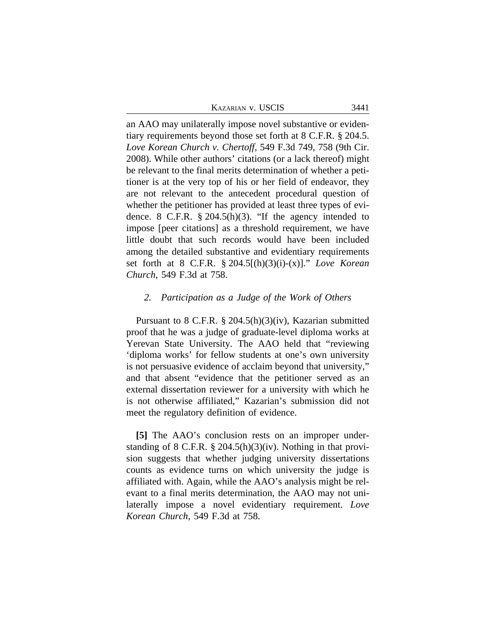| Kazarian v. USCIS | 3441 |
|-------------------|------|
|                   |      |

an AAO may unilaterally impose novel substantive or evidentiary requirements beyond those set forth at 8 C.F.R. § 204.5. *Love Korean Church v. Chertoff*, 549 F.3d 749, 758 (9th Cir. 2008). While other authors' citations (or a lack thereof) might be relevant to the final merits determination of whether a petitioner is at the very top of his or her field of endeavor, they are not relevant to the antecedent procedural question of whether the petitioner has provided at least three types of evidence. 8 C.F.R.  $\S 204.5(h)(3)$ . "If the agency intended to impose [peer citations] as a threshold requirement, we have little doubt that such records would have been included among the detailed substantive and evidentiary requirements set forth at 8 C.F.R. § 204.5[(h)(3)(i)-(x)]." *Love Korean Church*, 549 F.3d at 758.

## *2. Participation as a Judge of the Work of Others*

Pursuant to 8 C.F.R. § 204.5(h)(3)(iv), Kazarian submitted proof that he was a judge of graduate-level diploma works at Yerevan State University. The AAO held that "reviewing 'diploma works' for fellow students at one's own university is not persuasive evidence of acclaim beyond that university," and that absent "evidence that the petitioner served as an external dissertation reviewer for a university with which he is not otherwise affiliated," Kazarian's submission did not meet the regulatory definition of evidence.

**[5]** The AAO's conclusion rests on an improper understanding of 8 C.F.R. § 204.5(h)(3)(iv). Nothing in that provision suggests that whether judging university dissertations counts as evidence turns on which university the judge is affiliated with. Again, while the AAO's analysis might be relevant to a final merits determination, the AAO may not unilaterally impose a novel evidentiary requirement. *Love Korean Church*, 549 F.3d at 758.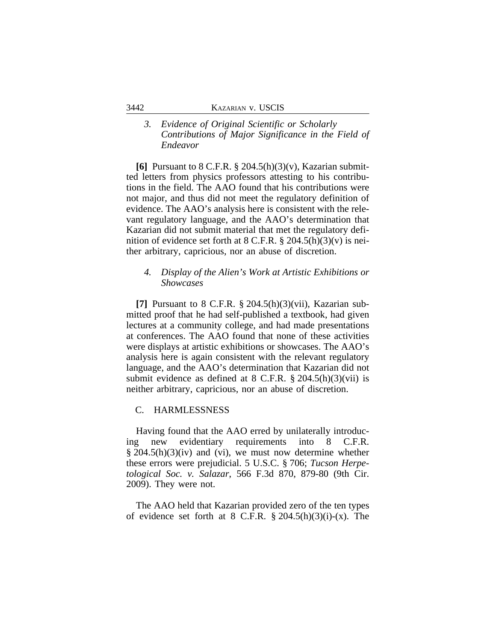*3. Evidence of Original Scientific or Scholarly Contributions of Major Significance in the Field of Endeavor*

**[6]** Pursuant to 8 C.F.R. § 204.5(h)(3)(v), Kazarian submitted letters from physics professors attesting to his contributions in the field. The AAO found that his contributions were not major, and thus did not meet the regulatory definition of evidence. The AAO's analysis here is consistent with the relevant regulatory language, and the AAO's determination that Kazarian did not submit material that met the regulatory definition of evidence set forth at 8 C.F.R. § 204.5(h)(3)(v) is neither arbitrary, capricious, nor an abuse of discretion.

# *4. Display of the Alien's Work at Artistic Exhibitions or Showcases*

**[7]** Pursuant to 8 C.F.R. § 204.5(h)(3)(vii), Kazarian submitted proof that he had self-published a textbook, had given lectures at a community college, and had made presentations at conferences. The AAO found that none of these activities were displays at artistic exhibitions or showcases. The AAO's analysis here is again consistent with the relevant regulatory language, and the AAO's determination that Kazarian did not submit evidence as defined at 8 C.F.R. § 204.5(h)(3)(vii) is neither arbitrary, capricious, nor an abuse of discretion.

## C. HARMLESSNESS

Having found that the AAO erred by unilaterally introducing new evidentiary requirements into 8 C.F.R.  $\S 204.5(h)(3)(iv)$  and (vi), we must now determine whether these errors were prejudicial. 5 U.S.C. § 706; *Tucson Herpetological Soc. v. Salazar*, 566 F.3d 870, 879-80 (9th Cir. 2009). They were not.

The AAO held that Kazarian provided zero of the ten types of evidence set forth at 8 C.F.R.  $\S 204.5(h)(3)(i)-(x)$ . The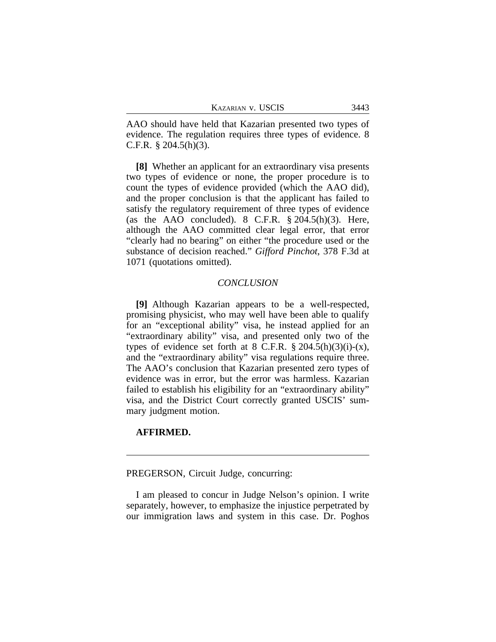| Kazarian v. USCIS | 3443 |
|-------------------|------|
|                   |      |

AAO should have held that Kazarian presented two types of evidence. The regulation requires three types of evidence. 8 C.F.R. § 204.5(h)(3).

**[8]** Whether an applicant for an extraordinary visa presents two types of evidence or none, the proper procedure is to count the types of evidence provided (which the AAO did), and the proper conclusion is that the applicant has failed to satisfy the regulatory requirement of three types of evidence (as the AAO concluded). 8 C.F.R.  $\S 204.5(h)(3)$ . Here, although the AAO committed clear legal error, that error "clearly had no bearing" on either "the procedure used or the substance of decision reached." *Gifford Pinchot*, 378 F.3d at 1071 (quotations omitted).

#### *CONCLUSION*

**[9]** Although Kazarian appears to be a well-respected, promising physicist, who may well have been able to qualify for an "exceptional ability" visa, he instead applied for an "extraordinary ability" visa, and presented only two of the types of evidence set forth at  $8$  C.F.R.  $\S$  204.5(h)(3)(i)-(x), and the "extraordinary ability" visa regulations require three. The AAO's conclusion that Kazarian presented zero types of evidence was in error, but the error was harmless. Kazarian failed to establish his eligibility for an "extraordinary ability" visa, and the District Court correctly granted USCIS' summary judgment motion.

### **AFFIRMED.**

PREGERSON, Circuit Judge, concurring:

I am pleased to concur in Judge Nelson's opinion. I write separately, however, to emphasize the injustice perpetrated by our immigration laws and system in this case. Dr. Poghos